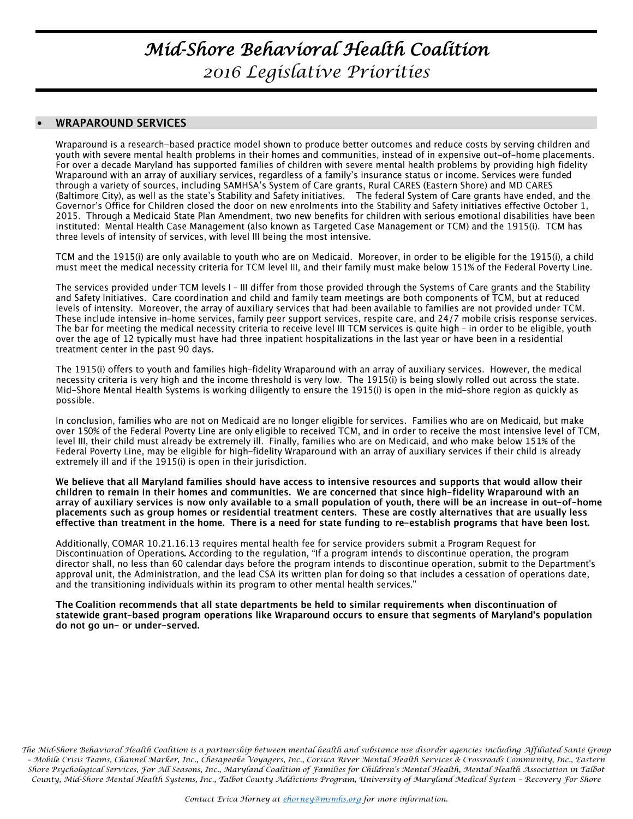# *Mid-Shore Behavioral Health Coalition 2016 Legislative Priorities*

### $\bullet$ **WRAPAROUND SERVICES**

Wraparound is a research-based practice model shown to produce better outcomes and reduce costs by serving children and youth with severe mental health problems in their homes and communities, instead of in expensive out-of-home placements. For over a decade Maryland has supported families of children with severe mental health problems by providing high fidelity Wraparound with an array of auxiliary services, regardless of a family's insurance status or income. Services were funded through a variety of sources, including SAMHSA's System of Care grants, Rural CARES (Eastern Shore) and MD CARES (Baltimore City), as well as the state's Stability and Safety initiatives. The federal System of Care grants have ended, and the Governor's Office for Children closed the door on new enrolments into the Stability and Safety initiatives effective October 1, 2015. Through a Medicaid State Plan Amendment, two new benefits for children with serious emotional disabilities have been instituted: Mental Health Case Management (also known as Targeted Case Management or TCM) and the 1915(i). TCM has three levels of intensity of services, with level III being the most intensive.

TCM and the 1915(i) are only available to youth who are on Medicaid. Moreover, in order to be eligible for the 1915(i), a child must meet the medical necessity criteria for TCM level III, and their family must make below 151% of the Federal Poverty Line.

The services provided under TCM levels I - III differ from those provided through the Systems of Care grants and the Stability and Safety Initiatives. Care coordination and child and family team meetings are both components of TCM, but at reduced levels of intensity. Moreover, the array of auxiliary services that had been available to families are not provided under TCM. These include intensive in-home services, family peer support services, respite care, and 24/7 mobile crisis response services. The bar for meeting the medical necessity criteria to receive level III TCM services is quite high - in order to be eligible, youth over the age of 12 typically must have had three inpatient hospitalizations in the last year or have been in a residential treatment center in the past 90 days.

The 1915(i) offers to youth and families high-fidelity Wraparound with an array of auxiliary services. However, the medical necessity criteria is very high and the income threshold is very low. The 1915(i) is being slowly rolled out across the state. Mid-Shore Mental Health Systems is working diligently to ensure the 1915(i) is open in the mid-shore region as quickly as possible.

In conclusion, families who are not on Medicaid are no longer eligible for services. Families who are on Medicaid, but make over 150% of the Federal Poverty Line are only eligible to received TCM, and in order to receive the most intensive level of TCM, level III, their child must already be extremely ill. Finally, families who are on Medicaid, and who make below 151% of the Federal Poverty Line, may be eligible for high-fidelity Wraparound with an array of auxiliary services if their child is already extremely ill and if the 1915(i) is open in their jurisdiction.

We believe that all Maryland families should have access to intensive resources and supports that would allow their children to remain in their homes and communities. We are concerned that since high-fidelity Wraparound with an array of auxiliary services is now only available to a small population of youth, there will be an increase in out-of-home placements such as group homes or residential treatment centers. These are costly alternatives that are usually less effective than treatment in the home. There is a need for state funding to re-establish programs that have been lost.

Additionally, COMAR 10.21.16.13 requires mental health fee for service providers submit a Program Request for Discontinuation of Operations. According to the regulation, "If a program intends to discontinue operation, the program director shall, no less than 60 calendar days before the program intends to discontinue operation, submit to the Department's approval unit, the Administration, and the lead CSA its written plan for doing so that includes a cessation of operations date, and the transitioning individuals within its program to other mental health services.'

The Coalition recommends that all state departments be held to similar requirements when discontinuation of statewide grant-based program operations like Wraparound occurs to ensure that segments of Maryland's population do not go un- or under-served.

*The Mid-Shore Behavioral Health Coalition is a partnership between mental health and substance use disorder agencies including Affiliated Santé Group – Mobile Crisis Teams, Channel Marker, Inc., Chesapeake Voyagers, Inc., Corsica River Mental Health Services & Crossroads Community, Inc., Eastern*  Shore Psychological Services, For All Seasons, Inc., Maryland Coalition of Families for Children's Mental Health, Mental Health Association in Talbot *County, Mid-Shore Mental Health Systems, Inc., Talbot County Addictions Program, University of Maryland Medical System – Recovery For Shore*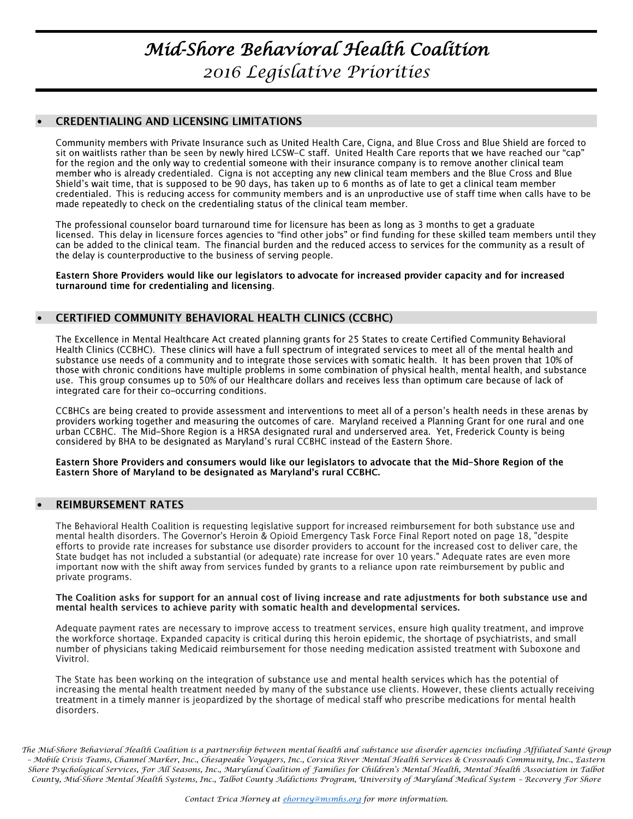# *Mid-Shore Behavioral Health Coalition 2016 Legislative Priorities*

### **CREDENTIALING AND LICENSING LIMITATIONS**  $\bullet$

Community members with Private Insurance such as United Health Care, Cigna, and Blue Cross and Blue Shield are forced to sit on waitlists rather than be seen by newly hired LCSW-C staff. United Health Care reports that we have reached our "cap" for the region and the only way to credential someone with their insurance company is to remove another clinical team member who is already credentialed. Cigna is not accepting any new clinical team members and the Blue Cross and Blue Shield's wait time, that is supposed to be 90 days, has taken up to 6 months as of late to get a clinical team member credentialed. This is reducing access for community members and is an unproductive use of staff time when calls have to be made repeatedly to check on the credentialing status of the clinical team member.

The professional counselor board turnaround time for licensure has been as long as 3 months to get a graduate licensed. This delay in licensure forces agencies to "find other jobs" or find funding for these skilled team members until they can be added to the clinical team. The financial burden and the reduced access to services for the community as a result of the delay is counterproductive to the business of serving people.

Eastern Shore Providers would like our legislators to advocate for increased provider capacity and for increased turnaround time for credentialing and licensing.

## CERTIFIED COMMUNITY BEHAVIORAL HEALTH CLINICS (CCBHC)  $\bullet$

The Excellence in Mental Healthcare Act created planning grants for 25 States to create Certified Community Behavioral Health Clinics (CCBHC). These clinics will have a full spectrum of integrated services to meet all of the mental health and substance use needs of a community and to integrate those services with somatic health. It has been proven that 10% of those with chronic conditions have multiple problems in some combination of physical health, mental health, and substance use. This group consumes up to 50% of our Healthcare dollars and receives less than optimum care because of lack of integrated care for their co-occurring conditions.

CCBHCs are being created to provide assessment and interventions to meet all of a person's health needs in these arenas by providers working together and measuring the outcomes of care. Maryland received a Planning Grant for one rural and one urban CCBHC. The Mid-Shore Region is a HRSA designated rural and underserved area. Yet, Frederick County is being considered by BHA to be designated as Maryland's rural CCBHC instead of the Eastern Shore.

Eastern Shore Providers and consumers would like our legislators to advocate that the Mid-Shore Region of the Eastern Shore of Maryland to be designated as Maryland's rural CCBHC.

## **REIMBURSEMENT RATES**  $\bullet$

The Behavioral Health Coalition is requesting legislative support for increased reimbursement for both substance use and mental health disorders. The Governor's Heroin & Opioid Emergency Task Force Final Report noted on page 18, "despite efforts to provide rate increases for substance use disorder providers to account for the increased cost to deliver care, the State budget has not included a substantial (or adequate) rate increase for over 10 years." Adequate rates are even more important now with the shift away from services funded by grants to a reliance upon rate reimbursement by public and private programs.

## The Coalition asks for support for an annual cost of living increase and rate adjustments for both substance use and mental health services to achieve parity with somatic health and developmental services.

Adequate payment rates are necessary to improve access to treatment services, ensure high quality treatment, and improve the workforce shortage. Expanded capacity is critical during this heroin epidemic, the shortage of psychiatrists, and small number of physicians taking Medicaid reimbursement for those needing medication assisted treatment with Suboxone and Vivitrol.

The State has been working on the integration of substance use and mental health services which has the potential of increasing the mental health treatment needed by many of the substance use clients. However, these clients actually receiving treatment in a timely manner is jeopardized by the shortage of medical staff who prescribe medications for mental health disorders.

*The Mid-Shore Behavioral Health Coalition is a partnership between mental health and substance use disorder agencies including Affiliated Santé Group – Mobile Crisis Teams, Channel Marker, Inc., Chesapeake Voyagers, Inc., Corsica River Mental Health Services & Crossroads Community, Inc., Eastern*  Shore Psychological Services, For All Seasons, Inc., Maryland Coalition of Families for Children's Mental Health, Mental Health Association in Talbot *County, Mid-Shore Mental Health Systems, Inc., Talbot County Addictions Program, University of Maryland Medical System – Recovery For Shore*